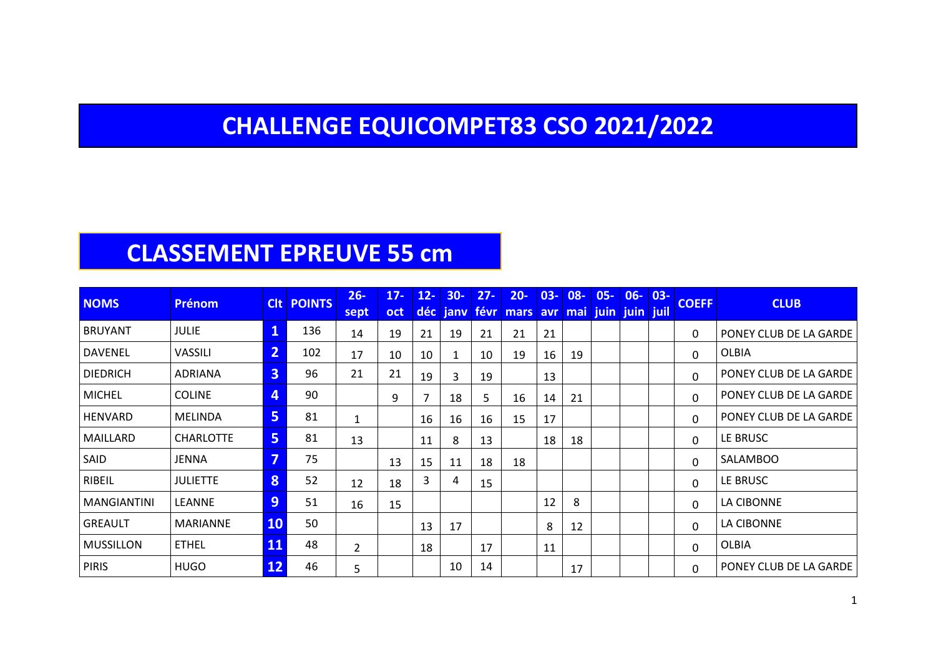#### **CHALLENGE EQUICOMPET83 CSO 2021/2022**

#### **CLASSEMENT EPREUVE 55 cm**

| <b>NOMS</b>      | <b>Prénom</b>   |                         | <b>CIt POINTS</b> | $26 -$<br>sept | $17 -$<br>oct | $12 -$<br>déc  | $30-$<br>janv | $27 -$<br><b>févr</b> | $20 -$<br>mars | $03 -$ | $08 -$<br>avr mai | $05 -$<br>juin juin juil | $06 -$ | $03 -$ | <b>COEFF</b> | <b>CLUB</b>            |
|------------------|-----------------|-------------------------|-------------------|----------------|---------------|----------------|---------------|-----------------------|----------------|--------|-------------------|--------------------------|--------|--------|--------------|------------------------|
| <b>BRUYANT</b>   | JULIE           | $\mathbf{1}$            | 136               | 14             | 19            | 21             | 19            | 21                    | 21             | 21     |                   |                          |        |        | $\Omega$     | PONEY CLUB DE LA GARDE |
| DAVENEL          | VASSILI         | 2                       | 102               | 17             | 10            | 10             | $\mathbf{1}$  | 10                    | 19             | 16     | 19                |                          |        |        | $\mathbf{0}$ | <b>OLBIA</b>           |
| <b>DIEDRICH</b>  | ADRIANA         | $\overline{\mathbf{3}}$ | 96                | 21             | 21            | 19             | 3             | 19                    |                | 13     |                   |                          |        |        | $\mathbf 0$  | PONEY CLUB DE LA GARDE |
| <b>MICHEL</b>    | <b>COLINE</b>   | $\overline{4}$          | 90                |                | 9             | $\overline{7}$ | 18            | 5                     | 16             | 14     | 21                |                          |        |        | $\mathbf{0}$ | PONEY CLUB DE LA GARDE |
| HENVARD          | MELINDA         | 5                       | 81                | $\mathbf{1}$   |               | 16             | 16            | 16                    | 15             | 17     |                   |                          |        |        | $\Omega$     | PONEY CLUB DE LA GARDE |
| MAILLARD         | CHARLOTTE       | 5                       | 81                | 13             |               | 11             | 8             | 13                    |                | 18     | 18                |                          |        |        | $\mathbf{0}$ | LE BRUSC               |
| SAID             | <b>JENNA</b>    | 7                       | 75                |                | 13            | 15             | 11            | 18                    | 18             |        |                   |                          |        |        | 0            | <b>SALAMBOO</b>        |
| RIBEIL           | <b>JULIETTE</b> | 8                       | 52                | 12             | 18            | 3              | 4             | 15                    |                |        |                   |                          |        |        | 0            | LE BRUSC               |
| MANGIANTINI      | LEANNE          | 9                       | 51                | 16             | 15            |                |               |                       |                | 12     | 8                 |                          |        |        | $\Omega$     | LA CIBONNE             |
| <b>GREAULT</b>   | MARIANNE        | <b>10</b>               | 50                |                |               | 13             | 17            |                       |                | 8      | 12                |                          |        |        | $\Omega$     | LA CIBONNE             |
| <b>MUSSILLON</b> | ETHEL           | 11                      | 48                | $\overline{2}$ |               | 18             |               | 17                    |                | 11     |                   |                          |        |        | 0            | OLBIA                  |
| <b>PIRIS</b>     | <b>HUGO</b>     | 12                      | 46                | 5              |               |                | 10            | 14                    |                |        | 17                |                          |        |        | 0            | PONEY CLUB DE LA GARDE |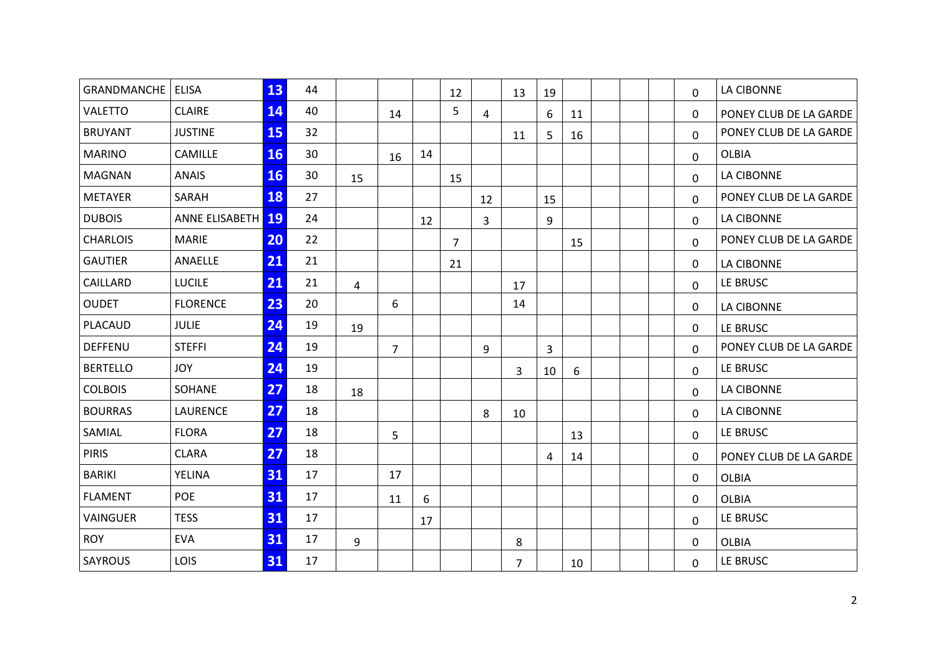| GRANDMANCHE   ELISA |                   | 13        | 44 |                |                |    |                |                |    |    |    |  |              | LA CIBONNE             |
|---------------------|-------------------|-----------|----|----------------|----------------|----|----------------|----------------|----|----|----|--|--------------|------------------------|
|                     |                   |           |    |                |                |    | 12             |                | 13 | 19 |    |  | 0            |                        |
| <b>VALETTO</b>      | <b>CLAIRE</b>     | 14        | 40 |                | 14             |    | 5              | $\overline{4}$ |    | 6  | 11 |  | 0            | PONEY CLUB DE LA GARDE |
| <b>BRUYANT</b>      | <b>JUSTINE</b>    | 15        | 32 |                |                |    |                |                | 11 | 5  | 16 |  | $\Omega$     | PONEY CLUB DE LA GARDE |
| <b>MARINO</b>       | CAMILLE           | <b>16</b> | 30 |                | 16             | 14 |                |                |    |    |    |  | 0            | <b>OLBIA</b>           |
| <b>MAGNAN</b>       | <b>ANAIS</b>      | <b>16</b> | 30 | 15             |                |    | 15             |                |    |    |    |  | 0            | LA CIBONNE             |
| <b>METAYER</b>      | SARAH             | 18        | 27 |                |                |    |                | 12             |    | 15 |    |  | 0            | PONEY CLUB DE LA GARDE |
| <b>DUBOIS</b>       | ANNE ELISABETH 19 |           | 24 |                |                | 12 |                | $\overline{3}$ |    | 9  |    |  | $\Omega$     | <b>LA CIBONNE</b>      |
| <b>CHARLOIS</b>     | <b>MARIE</b>      | 20        | 22 |                |                |    | $\overline{7}$ |                |    |    | 15 |  | $\Omega$     | PONEY CLUB DE LA GARDE |
| <b>GAUTIER</b>      | ANAELLE           | 21        | 21 |                |                |    | 21             |                |    |    |    |  | 0            | LA CIBONNE             |
| CAILLARD            | <b>LUCILE</b>     | 21        | 21 | $\overline{4}$ |                |    |                |                | 17 |    |    |  | 0            | LE BRUSC               |
| <b>OUDET</b>        | <b>FLORENCE</b>   | 23        | 20 |                | 6              |    |                |                | 14 |    |    |  | 0            | LA CIBONNE             |
| PLACAUD             | <b>JULIE</b>      | 24        | 19 | 19             |                |    |                |                |    |    |    |  | 0            | LE BRUSC               |
| DEFFENU             | <b>STEFFI</b>     | 24        | 19 |                | $\overline{7}$ |    |                | 9              |    | 3  |    |  | $\Omega$     | PONEY CLUB DE LA GARDE |
| <b>BERTELLO</b>     | <b>JOY</b>        | 24        | 19 |                |                |    |                |                | 3  | 10 | 6  |  | 0            | LE BRUSC               |
| <b>COLBOIS</b>      | SOHANE            | 27        | 18 | 18             |                |    |                |                |    |    |    |  | $\Omega$     | LA CIBONNE             |
| <b>BOURRAS</b>      | LAURENCE          | 27        | 18 |                |                |    |                | 8              | 10 |    |    |  | $\Omega$     | LA CIBONNE             |
| SAMIAL              | <b>FLORA</b>      | 27        | 18 |                | 5              |    |                |                |    |    | 13 |  | $\Omega$     | LE BRUSC               |
| <b>PIRIS</b>        | <b>CLARA</b>      | 27        | 18 |                |                |    |                |                |    | 4  | 14 |  | 0            | PONEY CLUB DE LA GARDE |
| <b>BARIKI</b>       | YELINA            | 31        | 17 |                | 17             |    |                |                |    |    |    |  | 0            | <b>OLBIA</b>           |
| <b>FLAMENT</b>      | POE               | 31        | 17 |                | 11             | 6  |                |                |    |    |    |  | 0            | <b>OLBIA</b>           |
| <b>VAINGUER</b>     | <b>TESS</b>       | 31        | 17 |                |                | 17 |                |                |    |    |    |  | 0            | LE BRUSC               |
| <b>ROY</b>          | <b>EVA</b>        | 31        | 17 | 9              |                |    |                |                | 8  |    |    |  | $\mathbf{0}$ | <b>OLBIA</b>           |
| <b>SAYROUS</b>      | LOIS              | 31        | 17 |                |                |    |                |                | 7  |    | 10 |  | 0            | LE BRUSC               |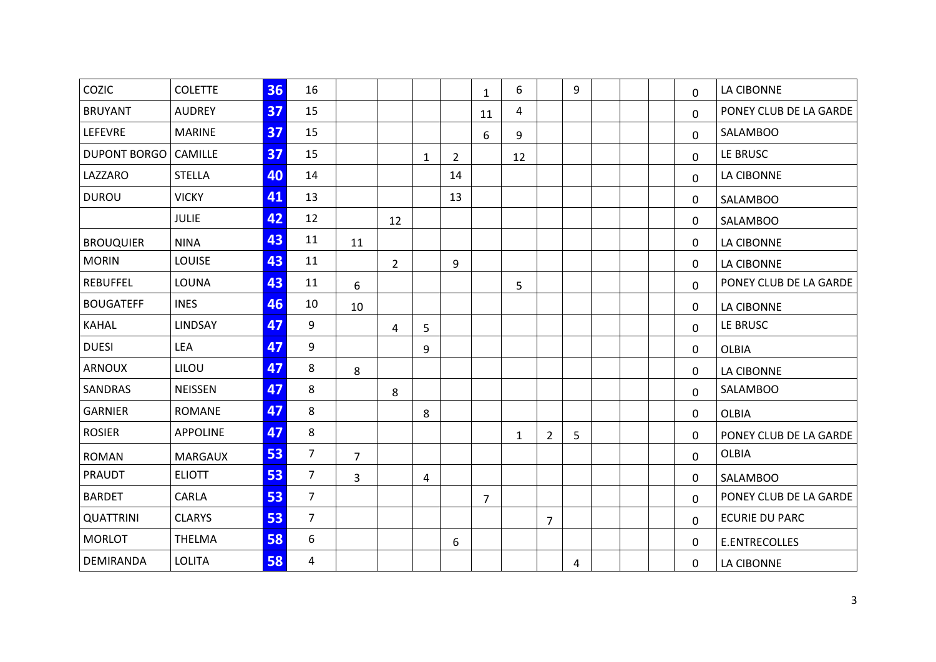| COZIC                  | <b>COLETTE</b>  | 36 | 16             |                |                |   |                | $\mathbf{1}$   | 6            |                | 9 |  | 0            | <b>LA CIBONNE</b>      |
|------------------------|-----------------|----|----------------|----------------|----------------|---|----------------|----------------|--------------|----------------|---|--|--------------|------------------------|
| <b>BRUYANT</b>         | <b>AUDREY</b>   | 37 | 15             |                |                |   |                | 11             | 4            |                |   |  | $\mathbf{0}$ | PONEY CLUB DE LA GARDE |
| <b>LEFEVRE</b>         | <b>MARINE</b>   | 37 | 15             |                |                |   |                | 6              | 9            |                |   |  | $\mathbf 0$  | <b>SALAMBOO</b>        |
| DUPONT BORGO   CAMILLE |                 | 37 | 15             |                |                | 1 | $\overline{2}$ |                | 12           |                |   |  | $\mathbf 0$  | LE BRUSC               |
| LAZZARO                | <b>STELLA</b>   | 40 | 14             |                |                |   | 14             |                |              |                |   |  | $\mathbf{0}$ | <b>LA CIBONNE</b>      |
| <b>DUROU</b>           | <b>VICKY</b>    | 41 | 13             |                |                |   | 13             |                |              |                |   |  | 0            | <b>SALAMBOO</b>        |
|                        | <b>JULIE</b>    | 42 | 12             |                | 12             |   |                |                |              |                |   |  | 0            | <b>SALAMBOO</b>        |
| <b>BROUQUIER</b>       | <b>NINA</b>     | 43 | 11             | 11             |                |   |                |                |              |                |   |  | 0            | <b>LA CIBONNE</b>      |
| <b>MORIN</b>           | LOUISE          | 43 | 11             |                | $\overline{2}$ |   | 9              |                |              |                |   |  | $\mathbf{0}$ | LA CIBONNE             |
| <b>REBUFFEL</b>        | LOUNA           | 43 | 11             | 6              |                |   |                |                | 5            |                |   |  | $\mathbf{0}$ | PONEY CLUB DE LA GARDE |
| <b>BOUGATEFF</b>       | <b>INES</b>     | 46 | 10             | 10             |                |   |                |                |              |                |   |  | 0            | LA CIBONNE             |
| <b>KAHAL</b>           | LINDSAY         | 47 | 9              |                | 4              | 5 |                |                |              |                |   |  | $\mathbf 0$  | LE BRUSC               |
| <b>DUESI</b>           | LEA             | 47 | 9              |                |                | 9 |                |                |              |                |   |  | 0            | <b>OLBIA</b>           |
| <b>ARNOUX</b>          | LILOU           | 47 | 8              | 8              |                |   |                |                |              |                |   |  | $\mathbf{0}$ | LA CIBONNE             |
| SANDRAS                | <b>NEISSEN</b>  | 47 | 8              |                | 8              |   |                |                |              |                |   |  | $\mathbf{0}$ | SALAMBOO               |
| <b>GARNIER</b>         | <b>ROMANE</b>   | 47 | 8              |                |                | 8 |                |                |              |                |   |  | $\mathbf{0}$ | <b>OLBIA</b>           |
| <b>ROSIER</b>          | <b>APPOLINE</b> | 47 | 8              |                |                |   |                |                | $\mathbf{1}$ | $\overline{2}$ | 5 |  | 0            | PONEY CLUB DE LA GARDE |
| <b>ROMAN</b>           | <b>MARGAUX</b>  | 53 | $\overline{7}$ | $\overline{7}$ |                |   |                |                |              |                |   |  | 0            | <b>OLBIA</b>           |
| <b>PRAUDT</b>          | <b>ELIOTT</b>   | 53 | $\overline{7}$ | 3              |                | 4 |                |                |              |                |   |  | $\mathbf{0}$ | <b>SALAMBOO</b>        |
| <b>BARDET</b>          | CARLA           | 53 | $\overline{7}$ |                |                |   |                | $\overline{7}$ |              |                |   |  | $\Omega$     | PONEY CLUB DE LA GARDE |
| <b>QUATTRINI</b>       | <b>CLARYS</b>   | 53 | $\overline{7}$ |                |                |   |                |                |              | $\overline{7}$ |   |  | $\mathbf{0}$ | <b>ECURIE DU PARC</b>  |
| <b>MORLOT</b>          | <b>THELMA</b>   | 58 | 6              |                |                |   | 6              |                |              |                |   |  | 0            | E.ENTRECOLLES          |
| DEMIRANDA              | <b>LOLITA</b>   | 58 | 4              |                |                |   |                |                |              |                | 4 |  | 0            | <b>LA CIBONNE</b>      |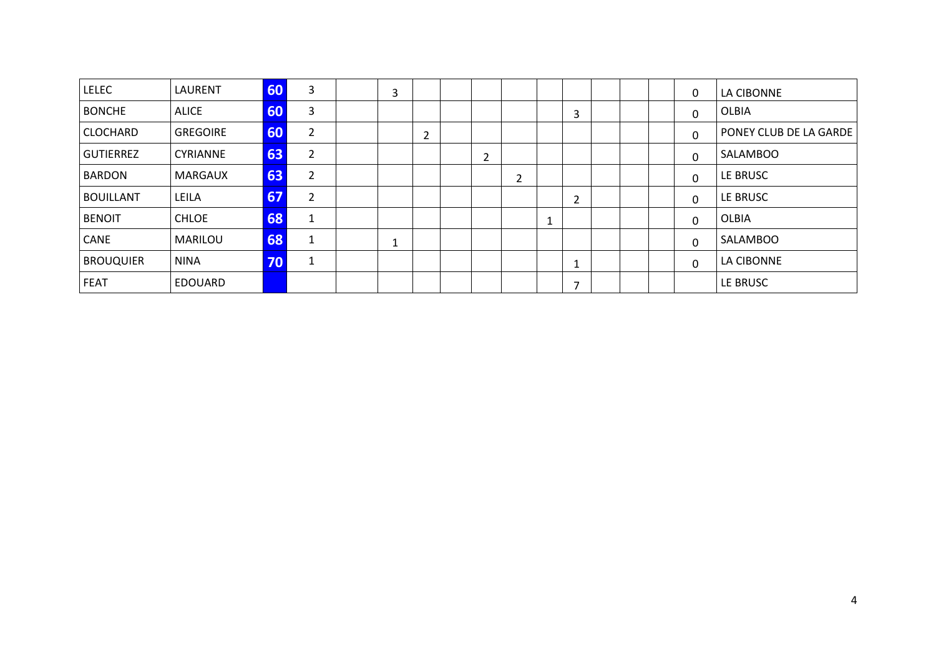| <b>LELEC</b>     | LAURENT         | 60           | 3              | 3 |        |   |   |   |  | 0 | LA CIBONNE             |
|------------------|-----------------|--------------|----------------|---|--------|---|---|---|--|---|------------------------|
| <b>BONCHE</b>    | <b>ALICE</b>    | 60           | 3              |   |        |   |   | 3 |  | 0 | <b>OLBIA</b>           |
| <b>CLOCHARD</b>  | <b>GREGOIRE</b> | 60           | $\overline{2}$ |   | ຳ<br>∠ |   |   |   |  | 0 | PONEY CLUB DE LA GARDE |
| <b>GUTIERREZ</b> | <b>CYRIANNE</b> | 63           | $\overline{2}$ |   |        | 2 |   |   |  | 0 | <b>SALAMBOO</b>        |
| <b>BARDON</b>    | MARGAUX         | 63           | $\overline{2}$ |   |        |   | 2 |   |  | 0 | LE BRUSC               |
| <b>BOUILLANT</b> | LEILA           | 67           | $\overline{2}$ |   |        |   |   | 2 |  | 0 | LE BRUSC               |
| <b>BENOIT</b>    | CHLOE           | 68           | 1              |   |        |   |   |   |  | 0 | <b>OLBIA</b>           |
| <b>CANE</b>      | MARILOU         | 68           | 1              | 1 |        |   |   |   |  | 0 | <b>SALAMBOO</b>        |
| <b>BROUQUIER</b> | <b>NINA</b>     | $70^{\circ}$ | $\mathbf{1}$   |   |        |   |   |   |  | 0 | LA CIBONNE             |
| <b>FEAT</b>      | <b>EDOUARD</b>  |              |                |   |        |   |   | 7 |  |   | LE BRUSC               |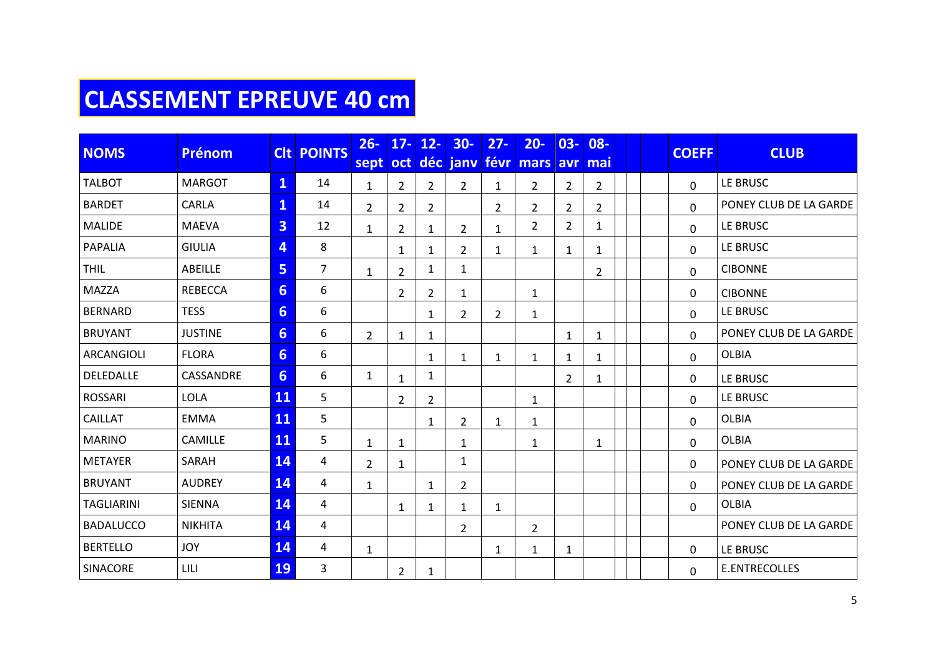# **CLASSEMENT EPREUVE 40 cm**

| <b>NOMS</b>       | <b>Prénom</b>  |                         | <b>CIt POINTS</b> | $26 -$         | $17 -$         | $12 -$         | $30 -$         | $27 -$         | $20 -$             | $03 -$         | $08 -$         |  | <b>COEFF</b> | <b>CLUB</b>            |
|-------------------|----------------|-------------------------|-------------------|----------------|----------------|----------------|----------------|----------------|--------------------|----------------|----------------|--|--------------|------------------------|
|                   |                |                         |                   | sept           | <b>oct</b>     |                |                |                | déc jany févr mars |                | avr mai        |  |              |                        |
| <b>TALBOT</b>     | <b>MARGOT</b>  | $\mathbf{1}$            | 14                | $\mathbf{1}$   | $\overline{2}$ | $\overline{2}$ | $\overline{2}$ | $\mathbf{1}$   | $\overline{2}$     | $\overline{2}$ | $\overline{2}$ |  | $\Omega$     | LE BRUSC               |
| <b>BARDET</b>     | <b>CARLA</b>   | $\overline{\mathbf{1}}$ | 14                | $\overline{2}$ | $\overline{2}$ | $\overline{2}$ |                | $\overline{2}$ | $\overline{2}$     | $\overline{2}$ | $\overline{2}$ |  | 0            | PONEY CLUB DE LA GARDE |
| <b>MALIDE</b>     | <b>MAEVA</b>   | 3                       | 12                | $\mathbf{1}$   | $\overline{2}$ | $\mathbf{1}$   | $\overline{2}$ | $\mathbf{1}$   | $\overline{2}$     | $\overline{2}$ | 1              |  | 0            | LE BRUSC               |
| <b>PAPALIA</b>    | <b>GIULIA</b>  | 4                       | 8                 |                | $\mathbf{1}$   | $\mathbf{1}$   | $\overline{2}$ | 1              | $\mathbf{1}$       | $\mathbf{1}$   | 1              |  | $\Omega$     | LE BRUSC               |
| <b>THIL</b>       | ABEILLE        | 5                       | $\overline{7}$    | $\mathbf{1}$   | $\overline{2}$ | 1              | $\mathbf{1}$   |                |                    |                | $\overline{2}$ |  | 0            | <b>CIBONNE</b>         |
| <b>MAZZA</b>      | <b>REBECCA</b> | $6 \overline{6}$        | 6                 |                | $\overline{2}$ | $\overline{2}$ | $\mathbf{1}$   |                | $\mathbf{1}$       |                |                |  | 0            | <b>CIBONNE</b>         |
| <b>BERNARD</b>    | <b>TESS</b>    | $6 \overline{6}$        | 6                 |                |                | $\mathbf{1}$   | $\overline{2}$ | 2              | $\mathbf{1}$       |                |                |  | 0            | LE BRUSC               |
| <b>BRUYANT</b>    | <b>JUSTINE</b> | $6 \overline{6}$        | 6                 | $\overline{2}$ | 1              | $\mathbf{1}$   |                |                |                    | $\mathbf{1}$   | 1              |  | 0            | PONEY CLUB DE LA GARDE |
| <b>ARCANGIOLI</b> | <b>FLORA</b>   | $6\phantom{1}$          | 6                 |                |                | $\mathbf{1}$   | $\mathbf{1}$   | 1              | 1                  | 1              | 1              |  | 0            | <b>OLBIA</b>           |
| DELEDALLE         | CASSANDRE      | $6 \overline{6}$        | 6                 | $\mathbf{1}$   | 1              | 1              |                |                |                    | $\overline{2}$ | 1              |  | 0            | LE BRUSC               |
| <b>ROSSARI</b>    | LOLA           | 11                      | 5                 |                | $\overline{2}$ | $\overline{2}$ |                |                | $\mathbf{1}$       |                |                |  | $\Omega$     | LE BRUSC               |
| <b>CAILLAT</b>    | <b>EMMA</b>    | 11                      | 5                 |                |                | $\mathbf{1}$   | $\overline{2}$ | 1              | 1                  |                |                |  | $\Omega$     | <b>OLBIA</b>           |
| <b>MARINO</b>     | CAMILLE        | 11                      | 5                 | $\mathbf{1}$   | $\mathbf{1}$   |                | $\mathbf{1}$   |                | $\mathbf{1}$       |                | 1              |  | 0            | <b>OLBIA</b>           |
| <b>METAYER</b>    | SARAH          | 14                      | 4                 | $\overline{2}$ | $\mathbf{1}$   |                | $\mathbf{1}$   |                |                    |                |                |  | 0            | PONEY CLUB DE LA GARDE |
| <b>BRUYANT</b>    | <b>AUDREY</b>  | 14                      | 4                 | $\mathbf{1}$   |                | $\mathbf{1}$   | $\overline{2}$ |                |                    |                |                |  | $\Omega$     | PONEY CLUB DE LA GARDE |
| <b>TAGLIARINI</b> | <b>SIENNA</b>  | 14                      | 4                 |                | $\mathbf{1}$   | 1              | $\mathbf{1}$   | 1              |                    |                |                |  | $\Omega$     | <b>OLBIA</b>           |
| <b>BADALUCCO</b>  | <b>NIKHITA</b> | 14                      | 4                 |                |                |                | $\overline{2}$ |                | $\overline{2}$     |                |                |  |              | PONEY CLUB DE LA GARDE |
| <b>BERTELLO</b>   | <b>JOY</b>     | 14                      | 4                 | $\mathbf{1}$   |                |                |                | $\mathbf{1}$   | $\mathbf{1}$       | $\mathbf{1}$   |                |  | $\mathbf{0}$ | LE BRUSC               |
| SINACORE          | LILI           | <b>19</b>               | 3                 |                | $\overline{2}$ | 1              |                |                |                    |                |                |  | $\Omega$     | <b>E.ENTRECOLLES</b>   |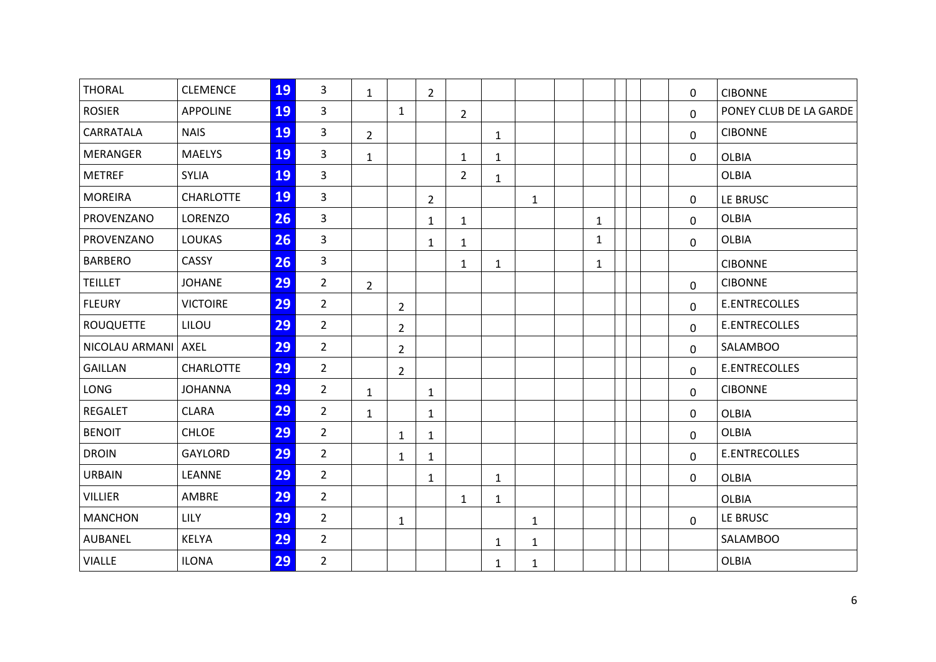| <b>THORAL</b>    | <b>CLEMENCE</b>  | 19 | $\overline{3}$ | $\mathbf{1}$   |                | $\overline{2}$ |                |              |              |              |  | 0            | <b>CIBONNE</b>         |
|------------------|------------------|----|----------------|----------------|----------------|----------------|----------------|--------------|--------------|--------------|--|--------------|------------------------|
| <b>ROSIER</b>    | <b>APPOLINE</b>  | 19 | $\overline{3}$ |                | $\mathbf{1}$   |                | $\overline{2}$ |              |              |              |  | $\mathbf{0}$ | PONEY CLUB DE LA GARDE |
| CARRATALA        | <b>NAIS</b>      | 19 | $\overline{3}$ | $\overline{2}$ |                |                |                | $\mathbf{1}$ |              |              |  | 0            | <b>CIBONNE</b>         |
| <b>MERANGER</b>  | <b>MAELYS</b>    | 19 | $\overline{3}$ | $\mathbf{1}$   |                |                | $\mathbf{1}$   | $\mathbf{1}$ |              |              |  | 0            | <b>OLBIA</b>           |
| <b>METREF</b>    | <b>SYLIA</b>     | 19 | $\overline{3}$ |                |                |                | $\overline{2}$ | $\mathbf{1}$ |              |              |  |              | <b>OLBIA</b>           |
| <b>MOREIRA</b>   | <b>CHARLOTTE</b> | 19 | $\overline{3}$ |                |                | $\overline{2}$ |                |              | $\mathbf{1}$ |              |  | 0            | LE BRUSC               |
| PROVENZANO       | LORENZO          | 26 | $\overline{3}$ |                |                | $\mathbf{1}$   | $\mathbf{1}$   |              |              | $\mathbf{1}$ |  | 0            | <b>OLBIA</b>           |
| PROVENZANO       | <b>LOUKAS</b>    | 26 | $\overline{3}$ |                |                | $\mathbf{1}$   | $\mathbf{1}$   |              |              | 1            |  | 0            | <b>OLBIA</b>           |
| <b>BARBERO</b>   | CASSY            | 26 | $\overline{3}$ |                |                |                | $\mathbf{1}$   | $\mathbf{1}$ |              | $\mathbf{1}$ |  |              | <b>CIBONNE</b>         |
| <b>TEILLET</b>   | <b>JOHANE</b>    | 29 | $\overline{2}$ | $2^{\circ}$    |                |                |                |              |              |              |  | 0            | <b>CIBONNE</b>         |
| <b>FLEURY</b>    | <b>VICTOIRE</b>  | 29 | $\overline{2}$ |                | $\overline{2}$ |                |                |              |              |              |  | $\Omega$     | E.ENTRECOLLES          |
| <b>ROUQUETTE</b> | LILOU            | 29 | $\overline{2}$ |                | $\overline{2}$ |                |                |              |              |              |  | $\mathbf 0$  | E.ENTRECOLLES          |
| NICOLAU ARMANI   | <b>AXEL</b>      | 29 | $2^{\circ}$    |                | $\overline{2}$ |                |                |              |              |              |  | 0            | <b>SALAMBOO</b>        |
| <b>GAILLAN</b>   | <b>CHARLOTTE</b> | 29 | $\overline{2}$ |                | $\overline{2}$ |                |                |              |              |              |  | $\mathbf{0}$ | E.ENTRECOLLES          |
| <b>LONG</b>      | <b>JOHANNA</b>   | 29 | $\overline{2}$ | $\mathbf{1}$   |                | $\mathbf{1}$   |                |              |              |              |  | 0            | <b>CIBONNE</b>         |
| <b>REGALET</b>   | <b>CLARA</b>     | 29 | $\overline{2}$ | $\mathbf{1}$   |                | $\mathbf{1}$   |                |              |              |              |  | 0            | <b>OLBIA</b>           |
| <b>BENOIT</b>    | <b>CHLOE</b>     | 29 | $\overline{2}$ |                | $\mathbf{1}$   | $\mathbf{1}$   |                |              |              |              |  | 0            | <b>OLBIA</b>           |
| <b>DROIN</b>     | GAYLORD          | 29 | $\overline{2}$ |                | 1              | $\mathbf{1}$   |                |              |              |              |  | 0            | E.ENTRECOLLES          |
| <b>URBAIN</b>    | LEANNE           | 29 | $\overline{2}$ |                |                | $\mathbf{1}$   |                | $\mathbf{1}$ |              |              |  | 0            | <b>OLBIA</b>           |
| <b>VILLIER</b>   | AMBRE            | 29 | $\overline{2}$ |                |                |                | $\mathbf{1}$   | $\mathbf{1}$ |              |              |  |              | <b>OLBIA</b>           |
| <b>MANCHON</b>   | LILY             | 29 | $\overline{2}$ |                | $\mathbf{1}$   |                |                |              | $\mathbf{1}$ |              |  | 0            | LE BRUSC               |
| <b>AUBANEL</b>   | <b>KELYA</b>     | 29 | $\overline{2}$ |                |                |                |                | $\mathbf{1}$ | 1            |              |  |              | <b>SALAMBOO</b>        |
| <b>VIALLE</b>    | <b>ILONA</b>     | 29 | $\overline{2}$ |                |                |                |                | $\mathbf{1}$ | $\mathbf{1}$ |              |  |              | <b>OLBIA</b>           |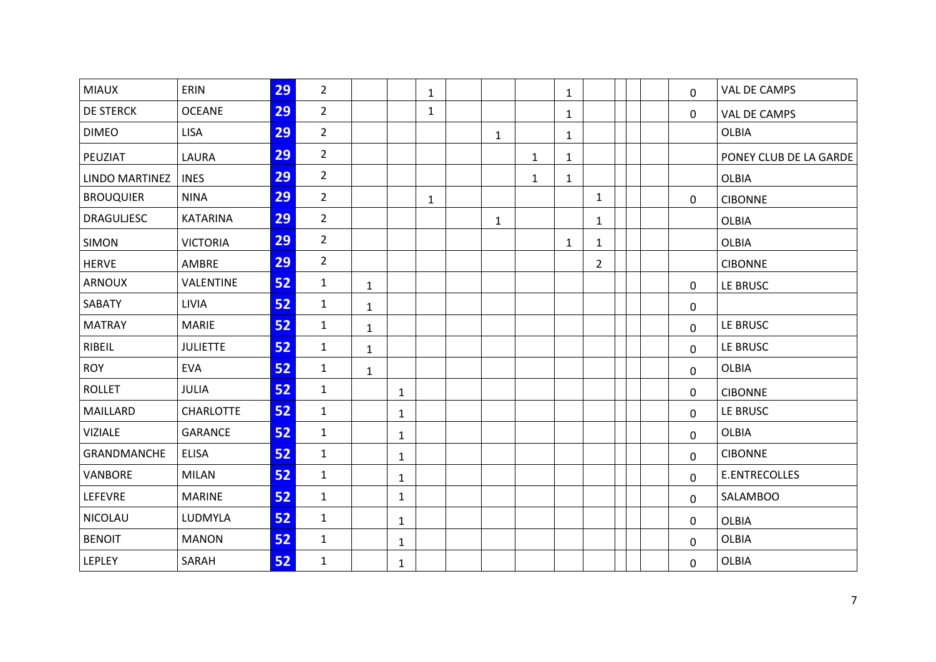| <b>MIAUX</b>      | ERIN             | 29 | $\overline{2}$ |              |              | $\mathbf{1}$ |              |              | $\mathbf{1}$ |                |  | 0            | VAL DE CAMPS           |
|-------------------|------------------|----|----------------|--------------|--------------|--------------|--------------|--------------|--------------|----------------|--|--------------|------------------------|
| <b>DE STERCK</b>  | <b>OCEANE</b>    | 29 | $\overline{2}$ |              |              | $\mathbf{1}$ |              |              | $\mathbf{1}$ |                |  | 0            | <b>VAL DE CAMPS</b>    |
| <b>DIMEO</b>      | <b>LISA</b>      | 29 | $\overline{2}$ |              |              |              | $\mathbf{1}$ |              | $\mathbf{1}$ |                |  |              | <b>OLBIA</b>           |
| PEUZIAT           | LAURA            | 29 | $\overline{2}$ |              |              |              |              | $\mathbf{1}$ | $\mathbf{1}$ |                |  |              | PONEY CLUB DE LA GARDE |
| LINDO MARTINEZ    | <b>INES</b>      | 29 | $\overline{2}$ |              |              |              |              | $\mathbf{1}$ | $\mathbf{1}$ |                |  |              | <b>OLBIA</b>           |
| <b>BROUQUIER</b>  | <b>NINA</b>      | 29 | $\overline{2}$ |              |              | $\mathbf{1}$ |              |              |              | $\mathbf{1}$   |  | 0            | <b>CIBONNE</b>         |
| <b>DRAGULJESC</b> | <b>KATARINA</b>  | 29 | $\overline{2}$ |              |              |              | $\mathbf{1}$ |              |              | $\mathbf{1}$   |  |              | <b>OLBIA</b>           |
| <b>SIMON</b>      | <b>VICTORIA</b>  | 29 | $\overline{2}$ |              |              |              |              |              | $\mathbf{1}$ | $\mathbf{1}$   |  |              | <b>OLBIA</b>           |
| <b>HERVE</b>      | AMBRE            | 29 | $\overline{2}$ |              |              |              |              |              |              | $\overline{2}$ |  |              | <b>CIBONNE</b>         |
| ARNOUX            | VALENTINE        | 52 | $\mathbf{1}$   | $\mathbf{1}$ |              |              |              |              |              |                |  | 0            | LE BRUSC               |
| SABATY            | LIVIA            | 52 | $\mathbf{1}$   | $\mathbf{1}$ |              |              |              |              |              |                |  | 0            |                        |
| <b>MATRAY</b>     | <b>MARIE</b>     | 52 | $\mathbf{1}$   | $\mathbf{1}$ |              |              |              |              |              |                |  | $\mathbf 0$  | LE BRUSC               |
| RIBEIL            | <b>JULIETTE</b>  | 52 | $\mathbf{1}$   | $\mathbf{1}$ |              |              |              |              |              |                |  | 0            | LE BRUSC               |
| <b>ROY</b>        | <b>EVA</b>       | 52 | $\mathbf{1}$   | $\mathbf{1}$ |              |              |              |              |              |                |  | 0            | <b>OLBIA</b>           |
| <b>ROLLET</b>     | <b>JULIA</b>     | 52 | $\mathbf{1}$   |              | $\mathbf{1}$ |              |              |              |              |                |  | 0            | <b>CIBONNE</b>         |
| MAILLARD          | <b>CHARLOTTE</b> | 52 | $\mathbf{1}$   |              | $\mathbf{1}$ |              |              |              |              |                |  | 0            | LE BRUSC               |
| <b>VIZIALE</b>    | <b>GARANCE</b>   | 52 | $\mathbf{1}$   |              | $\mathbf{1}$ |              |              |              |              |                |  | 0            | <b>OLBIA</b>           |
| GRANDMANCHE       | <b>ELISA</b>     | 52 | $\mathbf{1}$   |              | 1            |              |              |              |              |                |  | $\mathbf{0}$ | <b>CIBONNE</b>         |
| VANBORE           | <b>MILAN</b>     | 52 | $\mathbf{1}$   |              | $\mathbf{1}$ |              |              |              |              |                |  | 0            | E.ENTRECOLLES          |
| LEFEVRE           | <b>MARINE</b>    | 52 | $\mathbf{1}$   |              | $\mathbf{1}$ |              |              |              |              |                |  | 0            | <b>SALAMBOO</b>        |
| <b>NICOLAU</b>    | LUDMYLA          | 52 | $\mathbf{1}$   |              | $\mathbf{1}$ |              |              |              |              |                |  | 0            | <b>OLBIA</b>           |
| <b>BENOIT</b>     | <b>MANON</b>     | 52 | $\mathbf{1}$   |              | 1            |              |              |              |              |                |  | $\mathbf{0}$ | <b>OLBIA</b>           |
| LEPLEY            | SARAH            | 52 | $\mathbf{1}$   |              | $\mathbf{1}$ |              |              |              |              |                |  | 0            | <b>OLBIA</b>           |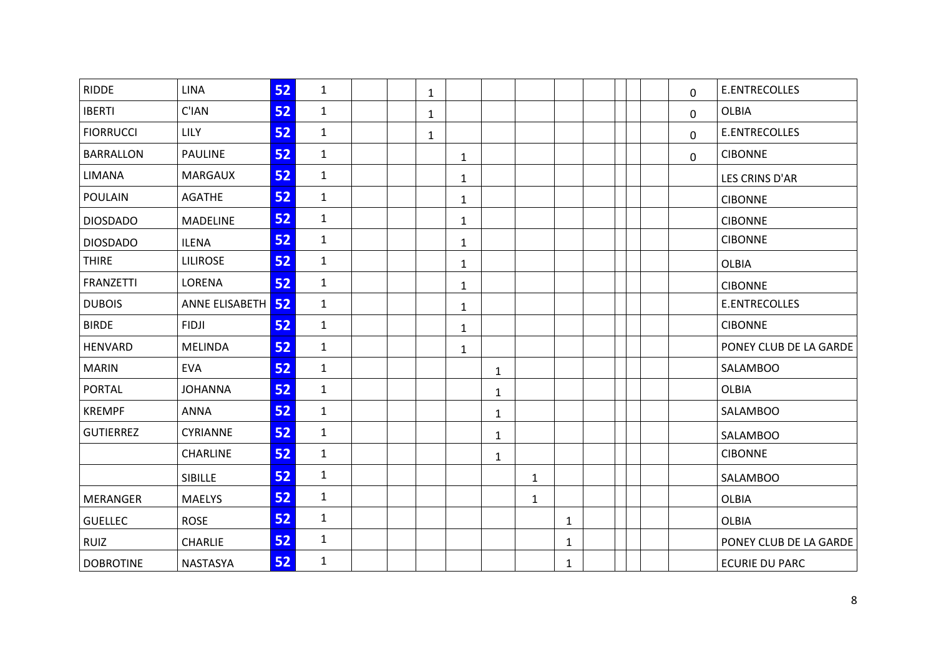| <b>RIDDE</b>     | <b>LINA</b>       | 52 | $\mathbf{1}$ |  | $\mathbf{1}$ |              |              |              |              |  | 0           | <b>E.ENTRECOLLES</b>   |
|------------------|-------------------|----|--------------|--|--------------|--------------|--------------|--------------|--------------|--|-------------|------------------------|
| <b>IBERTI</b>    | C'IAN             | 52 | $\mathbf{1}$ |  | $\mathbf{1}$ |              |              |              |              |  | 0           | <b>OLBIA</b>           |
| <b>FIORRUCCI</b> | LILY              | 52 | $\mathbf{1}$ |  | $\mathbf{1}$ |              |              |              |              |  | 0           | E.ENTRECOLLES          |
| <b>BARRALLON</b> | <b>PAULINE</b>    | 52 | $\mathbf{1}$ |  |              | $\mathbf{1}$ |              |              |              |  | $\mathbf 0$ | <b>CIBONNE</b>         |
| LIMANA           | <b>MARGAUX</b>    | 52 | $\mathbf{1}$ |  |              | $\mathbf{1}$ |              |              |              |  |             | LES CRINS D'AR         |
| <b>POULAIN</b>   | <b>AGATHE</b>     | 52 | $\mathbf{1}$ |  |              | $\mathbf{1}$ |              |              |              |  |             | <b>CIBONNE</b>         |
| <b>DIOSDADO</b>  | <b>MADELINE</b>   | 52 | $\mathbf{1}$ |  |              | $\mathbf{1}$ |              |              |              |  |             | <b>CIBONNE</b>         |
| <b>DIOSDADO</b>  | <b>ILENA</b>      | 52 | $\mathbf{1}$ |  |              | $\mathbf{1}$ |              |              |              |  |             | <b>CIBONNE</b>         |
| <b>THIRE</b>     | <b>LILIROSE</b>   | 52 | $\mathbf{1}$ |  |              | $\mathbf{1}$ |              |              |              |  |             | <b>OLBIA</b>           |
| <b>FRANZETTI</b> | LORENA            | 52 | $\mathbf{1}$ |  |              | 1            |              |              |              |  |             | <b>CIBONNE</b>         |
| <b>DUBOIS</b>    | ANNE ELISABETH 52 |    | $\mathbf{1}$ |  |              | $\mathbf{1}$ |              |              |              |  |             | <b>E.ENTRECOLLES</b>   |
| <b>BIRDE</b>     | <b>FIDJI</b>      | 52 | $\mathbf{1}$ |  |              | $\mathbf{1}$ |              |              |              |  |             | <b>CIBONNE</b>         |
| <b>HENVARD</b>   | <b>MELINDA</b>    | 52 | $\mathbf{1}$ |  |              | $\mathbf{1}$ |              |              |              |  |             | PONEY CLUB DE LA GARDE |
| <b>MARIN</b>     | <b>EVA</b>        | 52 | $\mathbf{1}$ |  |              |              | $\mathbf{1}$ |              |              |  |             | <b>SALAMBOO</b>        |
| <b>PORTAL</b>    | <b>JOHANNA</b>    | 52 | $\mathbf{1}$ |  |              |              | $\mathbf{1}$ |              |              |  |             | <b>OLBIA</b>           |
| <b>KREMPF</b>    | <b>ANNA</b>       | 52 | $\mathbf{1}$ |  |              |              | $\mathbf{1}$ |              |              |  |             | <b>SALAMBOO</b>        |
| <b>GUTIERREZ</b> | <b>CYRIANNE</b>   | 52 | $\mathbf{1}$ |  |              |              | $\mathbf{1}$ |              |              |  |             | <b>SALAMBOO</b>        |
|                  | CHARLINE          | 52 | $\mathbf{1}$ |  |              |              | $\mathbf{1}$ |              |              |  |             | <b>CIBONNE</b>         |
|                  | <b>SIBILLE</b>    | 52 | $\mathbf{1}$ |  |              |              |              | $\mathbf{1}$ |              |  |             | <b>SALAMBOO</b>        |
| <b>MERANGER</b>  | <b>MAELYS</b>     | 52 | $\mathbf{1}$ |  |              |              |              | $\mathbf{1}$ |              |  |             | <b>OLBIA</b>           |
| <b>GUELLEC</b>   | <b>ROSE</b>       | 52 | $\mathbf{1}$ |  |              |              |              |              | $\mathbf{1}$ |  |             | <b>OLBIA</b>           |
| RUIZ             | <b>CHARLIE</b>    | 52 | 1            |  |              |              |              |              | $\mathbf{1}$ |  |             | PONEY CLUB DE LA GARDE |
| <b>DOBROTINE</b> | NASTASYA          | 52 | $\mathbf{1}$ |  |              |              |              |              | $\mathbf{1}$ |  |             | <b>ECURIE DU PARC</b>  |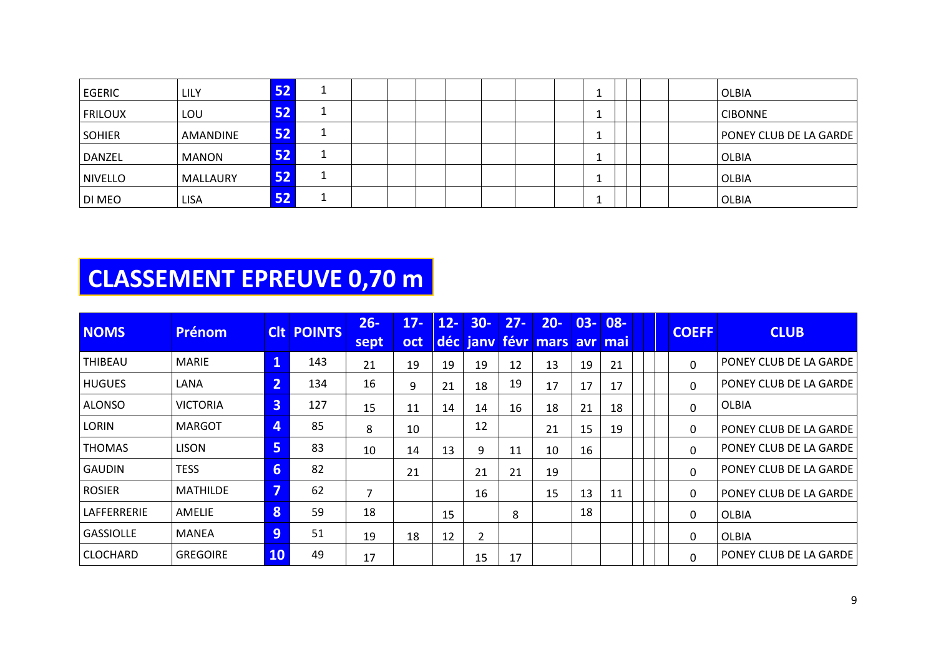| <b>EGERIC</b>  | LILY         | 52 |  |  |  |  |    |  | OLBIA                         |
|----------------|--------------|----|--|--|--|--|----|--|-------------------------------|
| <b>FRILOUX</b> | LOU          | 52 |  |  |  |  | л. |  | <b>CIBONNE</b>                |
| <b>SOHIER</b>  | AMANDINE     | 52 |  |  |  |  |    |  | <b>PONEY CLUB DE LA GARDE</b> |
| DANZEL         | <b>MANON</b> | 52 |  |  |  |  |    |  | OLBIA                         |
| <b>NIVELLO</b> | MALLAURY     | 52 |  |  |  |  |    |  | <b>OLBIA</b>                  |
| <b>DI MEO</b>  | <b>LISA</b>  | 52 |  |  |  |  |    |  | <b>OLBIA</b>                  |

# **CLASSEMENT EPREUVE 0,70 m**

| <b>NOMS</b>      | Prénom          |                | <b>CIt POINTS</b> | $26 -$<br>sept | $17 -$<br><b>oct</b> | $12 -$ | $30 -$ | $27 -$ | $20 -$<br>déc jany févr mars avr | $03 -$ | 08-<br>mai |  | <b>COEFF</b> | <b>CLUB</b>            |
|------------------|-----------------|----------------|-------------------|----------------|----------------------|--------|--------|--------|----------------------------------|--------|------------|--|--------------|------------------------|
| THIBEAU          | <b>MARIE</b>    |                | 143               | 21             | 19                   | 19     | 19     | 12     | 13                               | 19     | 21         |  | $\Omega$     | PONEY CLUB DE LA GARDE |
| <b>HUGUES</b>    | LANA            | $\overline{2}$ | 134               | 16             | 9                    | 21     | 18     | 19     | 17                               | 17     | 17         |  | 0            | PONEY CLUB DE LA GARDE |
| <b>ALONSO</b>    | <b>VICTORIA</b> | 3              | 127               | 15             | 11                   | 14     | 14     | 16     | 18                               | 21     | 18         |  | 0            | <b>OLBIA</b>           |
| <b>LORIN</b>     | <b>MARGOT</b>   | 4              | 85                | 8              | 10                   |        | 12     |        | 21                               | 15     | 19         |  | 0            | PONEY CLUB DE LA GARDE |
| <b>THOMAS</b>    | <b>LISON</b>    | 5              | 83                | 10             | 14                   | 13     | 9      | 11     | 10                               | 16     |            |  | 0            | PONEY CLUB DE LA GARDE |
| <b>GAUDIN</b>    | <b>TESS</b>     | 6              | 82                |                | 21                   |        | 21     | 21     | 19                               |        |            |  | 0            | PONEY CLUB DE LA GARDE |
| <b>ROSIER</b>    | <b>MATHILDE</b> | 7              | 62                | 7              |                      |        | 16     |        | 15                               | 13     | 11         |  | 0            | PONEY CLUB DE LA GARDE |
| LAFFERRERIE      | AMELIE          | 8              | 59                | 18             |                      | 15     |        | 8      |                                  | 18     |            |  | 0            | <b>OLBIA</b>           |
| <b>GASSIOLLE</b> | MANEA           | 9              | 51                | 19             | 18                   | 12     | 2      |        |                                  |        |            |  | 0            | <b>OLBIA</b>           |
| <b>CLOCHARD</b>  | <b>GREGOIRE</b> | <b>10</b>      | 49                | 17             |                      |        | 15     | 17     |                                  |        |            |  | 0            | PONEY CLUB DE LA GARDE |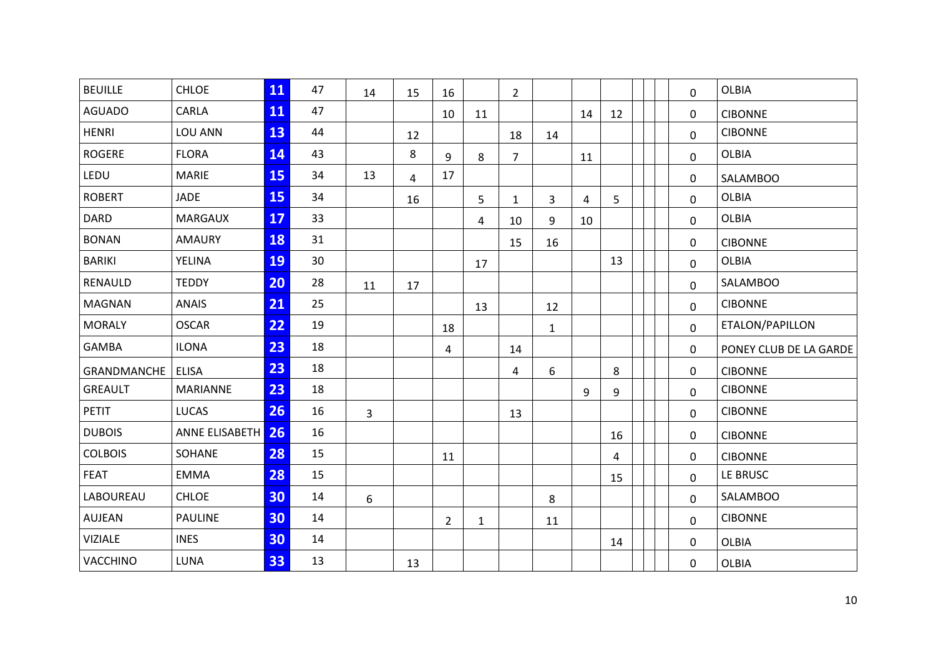| <b>BEUILLE</b> | <b>CHLOE</b>      | 11 | 47 | 14             | 15             | 16             |              | $\overline{2}$ |              |    |    |  | 0            | <b>OLBIA</b>           |
|----------------|-------------------|----|----|----------------|----------------|----------------|--------------|----------------|--------------|----|----|--|--------------|------------------------|
| <b>AGUADO</b>  | CARLA             | 11 | 47 |                |                | 10             | 11           |                |              | 14 | 12 |  | 0            | <b>CIBONNE</b>         |
| <b>HENRI</b>   | LOU ANN           | 13 | 44 |                | 12             |                |              | 18             | 14           |    |    |  | 0            | <b>CIBONNE</b>         |
| <b>ROGERE</b>  | <b>FLORA</b>      | 14 | 43 |                | 8              | 9              | 8            | $\overline{7}$ |              | 11 |    |  | $\mathbf 0$  | <b>OLBIA</b>           |
| LEDU           | <b>MARIE</b>      | 15 | 34 | 13             | $\overline{4}$ | 17             |              |                |              |    |    |  | $\mathbf{0}$ | <b>SALAMBOO</b>        |
| <b>ROBERT</b>  | <b>JADE</b>       | 15 | 34 |                | 16             |                | 5            | $\mathbf{1}$   | 3            | 4  | 5  |  | 0            | <b>OLBIA</b>           |
| <b>DARD</b>    | <b>MARGAUX</b>    | 17 | 33 |                |                |                | 4            | 10             | 9            | 10 |    |  | $\mathbf 0$  | <b>OLBIA</b>           |
| <b>BONAN</b>   | <b>AMAURY</b>     | 18 | 31 |                |                |                |              | 15             | 16           |    |    |  | 0            | <b>CIBONNE</b>         |
| <b>BARIKI</b>  | YELINA            | 19 | 30 |                |                |                | 17           |                |              |    | 13 |  | 0            | <b>OLBIA</b>           |
| RENAULD        | <b>TEDDY</b>      | 20 | 28 | 11             | 17             |                |              |                |              |    |    |  | 0            | SALAMBOO               |
| <b>MAGNAN</b>  | <b>ANAIS</b>      | 21 | 25 |                |                |                | 13           |                | 12           |    |    |  | $\Omega$     | <b>CIBONNE</b>         |
| <b>MORALY</b>  | <b>OSCAR</b>      | 22 | 19 |                |                | 18             |              |                | $\mathbf{1}$ |    |    |  | $\mathbf 0$  | ETALON/PAPILLON        |
| <b>GAMBA</b>   | <b>ILONA</b>      | 23 | 18 |                |                | 4              |              | 14             |              |    |    |  | 0            | PONEY CLUB DE LA GARDE |
| GRANDMANCHE    | <b>ELISA</b>      | 23 | 18 |                |                |                |              | 4              | 6            |    | 8  |  | 0            | <b>CIBONNE</b>         |
| <b>GREAULT</b> | MARIANNE          | 23 | 18 |                |                |                |              |                |              | 9  | 9  |  | 0            | <b>CIBONNE</b>         |
| <b>PETIT</b>   | <b>LUCAS</b>      | 26 | 16 | $\overline{3}$ |                |                |              | 13             |              |    |    |  | $\mathbf 0$  | <b>CIBONNE</b>         |
| <b>DUBOIS</b>  | ANNE ELISABETH 26 |    | 16 |                |                |                |              |                |              |    | 16 |  | 0            | <b>CIBONNE</b>         |
| <b>COLBOIS</b> | SOHANE            | 28 | 15 |                |                | 11             |              |                |              |    | 4  |  | 0            | <b>CIBONNE</b>         |
| <b>FEAT</b>    | <b>EMMA</b>       | 28 | 15 |                |                |                |              |                |              |    | 15 |  | $\mathbf 0$  | LE BRUSC               |
| LABOUREAU      | CHLOE             | 30 | 14 | 6              |                |                |              |                | 8            |    |    |  | $\mathbf 0$  | SALAMBOO               |
| AUJEAN         | <b>PAULINE</b>    | 30 | 14 |                |                | $\overline{2}$ | $\mathbf{1}$ |                | 11           |    |    |  | 0            | <b>CIBONNE</b>         |
| <b>VIZIALE</b> | <b>INES</b>       | 30 | 14 |                |                |                |              |                |              |    | 14 |  | 0            | <b>OLBIA</b>           |
| VACCHINO       | LUNA              | 33 | 13 |                | 13             |                |              |                |              |    |    |  | 0            | <b>OLBIA</b>           |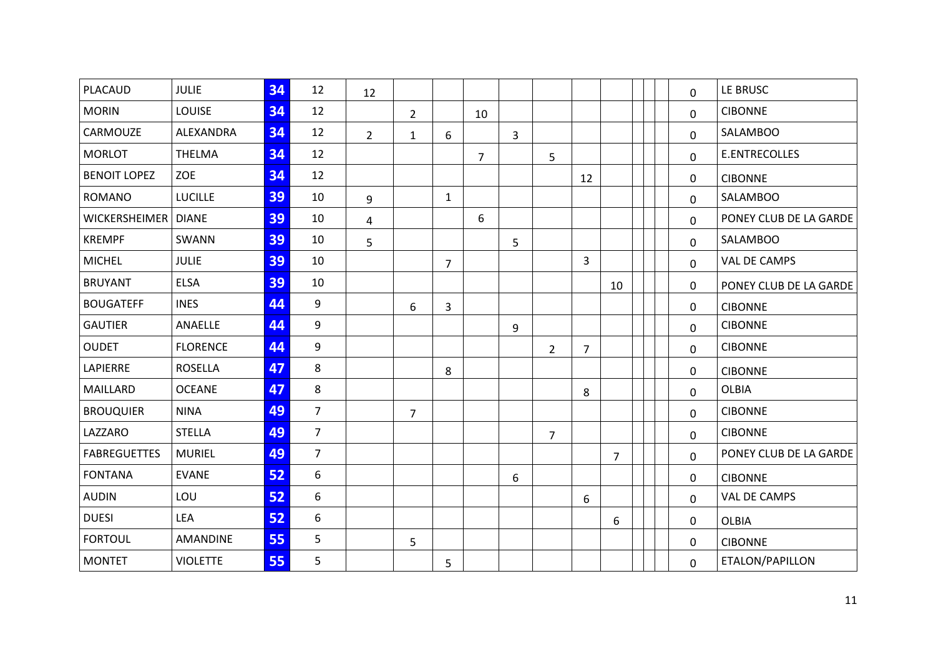| PLACAUD               | <b>JULIE</b>    | 34 | 12             | 12             |                |                |                |              |                |                |                |  | 0            | LE BRUSC               |
|-----------------------|-----------------|----|----------------|----------------|----------------|----------------|----------------|--------------|----------------|----------------|----------------|--|--------------|------------------------|
| <b>MORIN</b>          | LOUISE          | 34 | 12             |                | $\overline{2}$ |                | 10             |              |                |                |                |  | 0            | <b>CIBONNE</b>         |
| CARMOUZE              | ALEXANDRA       | 34 | 12             | $\overline{2}$ | $\mathbf{1}$   | 6              |                | $\mathbf{3}$ |                |                |                |  | 0            | <b>SALAMBOO</b>        |
| <b>MORLOT</b>         | THELMA          | 34 | 12             |                |                |                | $\overline{7}$ |              | 5              |                |                |  | $\mathbf 0$  | E.ENTRECOLLES          |
| <b>BENOIT LOPEZ</b>   | <b>ZOE</b>      | 34 | 12             |                |                |                |                |              |                | 12             |                |  | $\mathbf{0}$ | <b>CIBONNE</b>         |
| <b>ROMANO</b>         | <b>LUCILLE</b>  | 39 | 10             | 9              |                | $\mathbf{1}$   |                |              |                |                |                |  | 0            | <b>SALAMBOO</b>        |
| WICKERSHEIMER   DIANE |                 | 39 | 10             | 4              |                |                | 6              |              |                |                |                |  | 0            | PONEY CLUB DE LA GARDE |
| <b>KREMPF</b>         | SWANN           | 39 | 10             | 5              |                |                |                | 5            |                |                |                |  | $\mathbf 0$  | <b>SALAMBOO</b>        |
| <b>MICHEL</b>         | <b>JULIE</b>    | 39 | 10             |                |                | $\overline{7}$ |                |              |                | $\overline{3}$ |                |  | 0            | VAL DE CAMPS           |
| <b>BRUYANT</b>        | <b>ELSA</b>     | 39 | 10             |                |                |                |                |              |                |                | 10             |  | 0            | PONEY CLUB DE LA GARDE |
| <b>BOUGATEFF</b>      | <b>INES</b>     | 44 | 9              |                | 6              | 3              |                |              |                |                |                |  | 0            | <b>CIBONNE</b>         |
| <b>GAUTIER</b>        | ANAELLE         | 44 | 9              |                |                |                |                | 9            |                |                |                |  | 0            | <b>CIBONNE</b>         |
| <b>OUDET</b>          | <b>FLORENCE</b> | 44 | 9              |                |                |                |                |              | $\overline{2}$ | 7              |                |  | 0            | <b>CIBONNE</b>         |
| LAPIERRE              | <b>ROSELLA</b>  | 47 | 8              |                |                | 8              |                |              |                |                |                |  | 0            | <b>CIBONNE</b>         |
| MAILLARD              | <b>OCEANE</b>   | 47 | 8              |                |                |                |                |              |                | 8              |                |  | 0            | <b>OLBIA</b>           |
| <b>BROUQUIER</b>      | <b>NINA</b>     | 49 | $\overline{7}$ |                | $\overline{7}$ |                |                |              |                |                |                |  | 0            | <b>CIBONNE</b>         |
| LAZZARO               | <b>STELLA</b>   | 49 | $\overline{7}$ |                |                |                |                |              | $\overline{7}$ |                |                |  | 0            | <b>CIBONNE</b>         |
| <b>FABREGUETTES</b>   | <b>MURIEL</b>   | 49 | $\overline{7}$ |                |                |                |                |              |                |                | $\overline{7}$ |  | 0            | PONEY CLUB DE LA GARDE |
| <b>FONTANA</b>        | <b>EVANE</b>    | 52 | 6              |                |                |                |                | 6            |                |                |                |  | $\mathbf{0}$ | <b>CIBONNE</b>         |
| <b>AUDIN</b>          | LOU             | 52 | 6              |                |                |                |                |              |                | 6              |                |  | $\mathbf 0$  | VAL DE CAMPS           |
| <b>DUESI</b>          | LEA             | 52 | 6              |                |                |                |                |              |                |                | 6              |  | 0            | <b>OLBIA</b>           |
| <b>FORTOUL</b>        | <b>AMANDINE</b> | 55 | 5              |                | 5              |                |                |              |                |                |                |  | 0            | <b>CIBONNE</b>         |
| <b>MONTET</b>         | <b>VIOLETTE</b> | 55 | 5              |                |                | 5              |                |              |                |                |                |  | 0            | ETALON/PAPILLON        |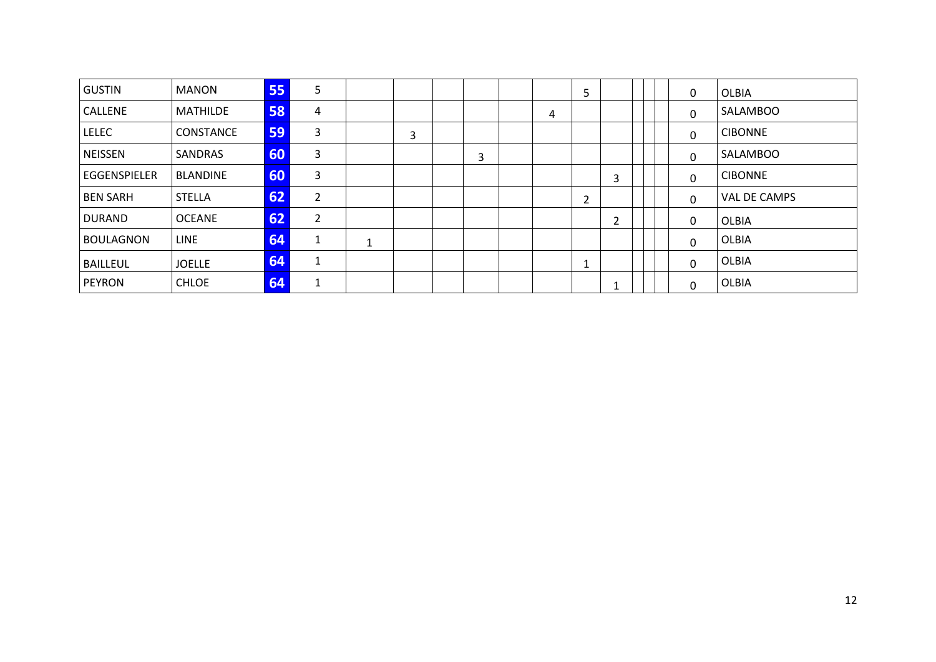| <b>GUSTIN</b>    | <b>MANON</b>    | 55 | 5 |   |   |   |   | 5 |   |  | 0            | <b>OLBIA</b>   |
|------------------|-----------------|----|---|---|---|---|---|---|---|--|--------------|----------------|
| <b>CALLENE</b>   | MATHILDE        | 58 | 4 |   |   |   | 4 |   |   |  | $\mathbf{0}$ | SALAMBOO       |
| <b>LELEC</b>     | CONSTANCE       | 59 | 3 |   | 3 |   |   |   |   |  | $\Omega$     | <b>CIBONNE</b> |
| <b>NEISSEN</b>   | SANDRAS         | 60 | 3 |   |   | 3 |   |   |   |  | 0            | SALAMBOO       |
| EGGENSPIELER     | <b>BLANDINE</b> | 60 | 3 |   |   |   |   |   | 3 |  | $\Omega$     | <b>CIBONNE</b> |
| <b>BEN SARH</b>  | <b>STELLA</b>   | 62 | 2 |   |   |   |   | 2 |   |  | $\mathbf{0}$ | VAL DE CAMPS   |
| <b>DURAND</b>    | <b>OCEANE</b>   | 62 | 2 |   |   |   |   |   | 2 |  | $\mathbf{0}$ | OLBIA          |
| <b>BOULAGNON</b> | <b>LINE</b>     | 64 |   | ◢ |   |   |   |   |   |  | $\Omega$     | OLBIA          |
| <b>BAILLEUL</b>  | <b>JOELLE</b>   | 64 | 1 |   |   |   |   |   |   |  | $\mathbf{0}$ | OLBIA          |
| <b>PEYRON</b>    | <b>CHLOE</b>    | 64 |   |   |   |   |   |   |   |  | $\Omega$     | OLBIA          |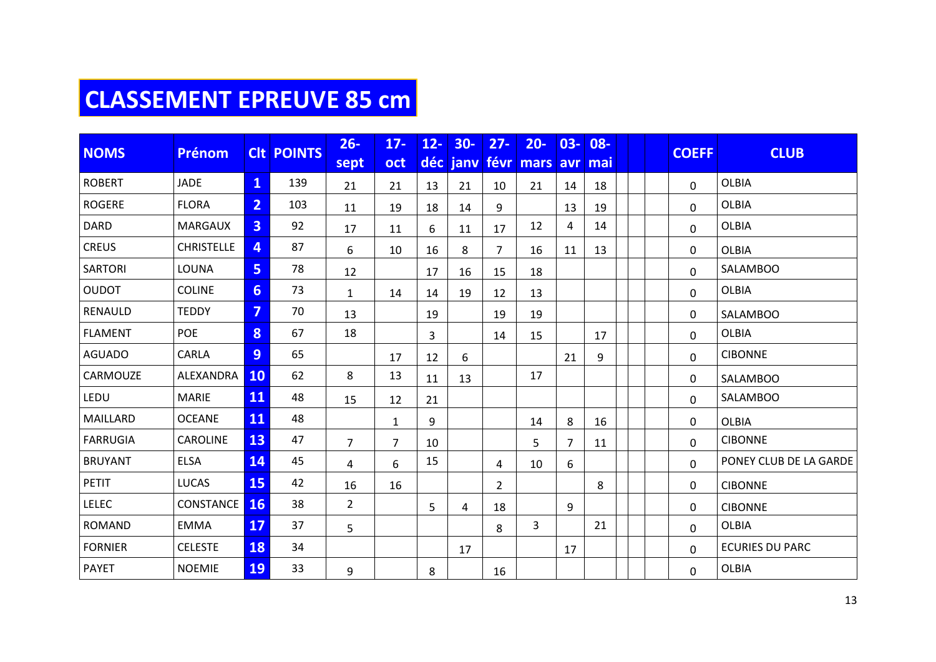# **CLASSEMENT EPREUVE 85 cm**

| <b>NOMS</b><br><b>Prénom</b> |                   |                         | <b>CIt POINTS</b> | $26 -$         | $17 -$         | $12 -$ | $30-$    | $27 -$         | $20 -$   | $03 -$         | 08- |  | <b>COEFF</b> | <b>CLUB</b>            |
|------------------------------|-------------------|-------------------------|-------------------|----------------|----------------|--------|----------|----------------|----------|----------------|-----|--|--------------|------------------------|
|                              |                   |                         |                   | sept           | oct            |        | déc janv | févr           | mars avr |                | mai |  |              |                        |
| <b>ROBERT</b>                | <b>JADE</b>       | $\overline{\mathbf{1}}$ | 139               | 21             | 21             | 13     | 21       | 10             | 21       | 14             | 18  |  | $\Omega$     | <b>OLBIA</b>           |
| <b>ROGERE</b>                | <b>FLORA</b>      | $\overline{2}$          | 103               | 11             | 19             | 18     | 14       | 9              |          | 13             | 19  |  | 0            | <b>OLBIA</b>           |
| <b>DARD</b>                  | <b>MARGAUX</b>    | $\overline{3}$          | 92                | 17             | 11             | 6      | 11       | 17             | 12       | 4              | 14  |  | 0            | <b>OLBIA</b>           |
| <b>CREUS</b>                 | <b>CHRISTELLE</b> | 4                       | 87                | 6              | 10             | 16     | 8        | $\overline{7}$ | 16       | 11             | 13  |  | 0            | <b>OLBIA</b>           |
| <b>SARTORI</b>               | LOUNA             | 5                       | 78                | 12             |                | 17     | 16       | 15             | 18       |                |     |  | 0            | SALAMBOO               |
| <b>OUDOT</b>                 | <b>COLINE</b>     | 6 <sup>1</sup>          | 73                | 1              | 14             | 14     | 19       | 12             | 13       |                |     |  | 0            | <b>OLBIA</b>           |
| RENAULD                      | <b>TEDDY</b>      | $\overline{7}$          | 70                | 13             |                | 19     |          | 19             | 19       |                |     |  | 0            | <b>SALAMBOO</b>        |
| <b>FLAMENT</b>               | <b>POE</b>        | 8                       | 67                | 18             |                | 3      |          | 14             | 15       |                | 17  |  | 0            | OLBIA                  |
| <b>AGUADO</b>                | CARLA             | 9                       | 65                |                | 17             | 12     | 6        |                |          | 21             | 9   |  | 0            | <b>CIBONNE</b>         |
| CARMOUZE                     | ALEXANDRA         | <b>10</b>               | 62                | 8              | 13             | 11     | 13       |                | 17       |                |     |  | 0            | <b>SALAMBOO</b>        |
| LEDU                         | <b>MARIE</b>      | 11                      | 48                | 15             | 12             | 21     |          |                |          |                |     |  | 0            | <b>SALAMBOO</b>        |
| MAILLARD                     | <b>OCEANE</b>     | 11                      | 48                |                | $\mathbf{1}$   | 9      |          |                | 14       | 8              | 16  |  | 0            | <b>OLBIA</b>           |
| <b>FARRUGIA</b>              | CAROLINE          | 13                      | 47                | $\overline{7}$ | $\overline{7}$ | 10     |          |                | 5        | $\overline{7}$ | 11  |  | 0            | <b>CIBONNE</b>         |
| <b>BRUYANT</b>               | <b>ELSA</b>       | 14                      | 45                | 4              | 6              | 15     |          | 4              | 10       | 6              |     |  | 0            | PONEY CLUB DE LA GARDE |
| <b>PETIT</b>                 | <b>LUCAS</b>      | <b>15</b>               | 42                | 16             | 16             |        |          | $\overline{2}$ |          |                | 8   |  | 0            | <b>CIBONNE</b>         |
| <b>LELEC</b>                 | CONSTANCE         | <b>16</b>               | 38                | $\overline{2}$ |                | 5      | 4        | 18             |          | 9              |     |  | 0            | <b>CIBONNE</b>         |
| <b>ROMAND</b>                | <b>EMMA</b>       | 17                      | 37                | 5              |                |        |          | 8              | 3        |                | 21  |  | 0            | <b>OLBIA</b>           |
| <b>FORNIER</b>               | <b>CELESTE</b>    | <b>18</b>               | 34                |                |                |        | 17       |                |          | 17             |     |  | 0            | <b>ECURIES DU PARC</b> |
| <b>PAYET</b>                 | <b>NOEMIE</b>     | <b>19</b>               | 33                | 9              |                | 8      |          | 16             |          |                |     |  | 0            | <b>OLBIA</b>           |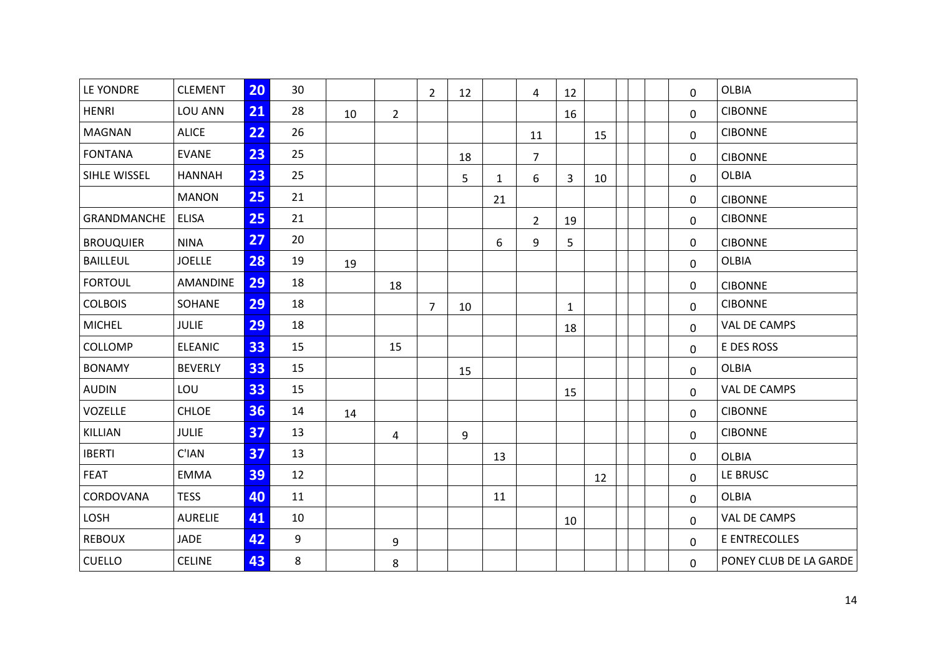| LE YONDRE        | <b>CLEMENT</b>  | 20 | 30 |    |                | $\overline{2}$ | 12 |              | 4              | 12           |    |  | $\mathbf 0$  | <b>OLBIA</b>           |  |  |
|------------------|-----------------|----|----|----|----------------|----------------|----|--------------|----------------|--------------|----|--|--------------|------------------------|--|--|
| <b>HENRI</b>     | LOU ANN         | 21 | 28 | 10 | $\overline{2}$ |                |    |              |                | 16           |    |  | 0            | <b>CIBONNE</b>         |  |  |
| <b>MAGNAN</b>    | <b>ALICE</b>    | 22 | 26 |    |                |                |    |              | 11             |              | 15 |  | 0            | <b>CIBONNE</b>         |  |  |
| <b>FONTANA</b>   | <b>EVANE</b>    | 23 | 25 |    |                |                | 18 |              | $\overline{7}$ |              |    |  | $\mathbf 0$  | <b>CIBONNE</b>         |  |  |
| SIHLE WISSEL     | <b>HANNAH</b>   | 23 | 25 |    |                |                | 5  | $\mathbf{1}$ | 6              | 3            | 10 |  | 0            | <b>OLBIA</b>           |  |  |
|                  | <b>MANON</b>    | 25 | 21 |    |                |                |    | 21           |                |              |    |  | 0            | <b>CIBONNE</b>         |  |  |
| GRANDMANCHE      | <b>ELISA</b>    | 25 | 21 |    |                |                |    |              | $\overline{2}$ | 19           |    |  | 0            | <b>CIBONNE</b>         |  |  |
| <b>BROUQUIER</b> | <b>NINA</b>     | 27 | 20 |    |                |                |    | 6            | 9              | 5            |    |  | 0            | <b>CIBONNE</b>         |  |  |
| <b>BAILLEUL</b>  | <b>JOELLE</b>   | 28 | 19 | 19 |                |                |    |              |                |              |    |  | $\mathbf 0$  | <b>OLBIA</b>           |  |  |
| <b>FORTOUL</b>   | <b>AMANDINE</b> | 29 | 18 |    | 18             |                |    |              |                |              |    |  | 0            | <b>CIBONNE</b>         |  |  |
| <b>COLBOIS</b>   | SOHANE          | 29 | 18 |    |                | $\overline{7}$ | 10 |              |                | $\mathbf{1}$ |    |  | $\mathbf{0}$ | <b>CIBONNE</b>         |  |  |
| <b>MICHEL</b>    | <b>JULIE</b>    | 29 | 18 |    |                |                |    |              |                | 18           |    |  | $\mathbf 0$  | VAL DE CAMPS           |  |  |
| COLLOMP          | <b>ELEANIC</b>  | 33 | 15 |    | 15             |                |    |              |                |              |    |  | 0            | E DES ROSS             |  |  |
| <b>BONAMY</b>    | <b>BEVERLY</b>  | 33 | 15 |    |                |                | 15 |              |                |              |    |  | 0            | <b>OLBIA</b>           |  |  |
| <b>AUDIN</b>     | LOU             | 33 | 15 |    |                |                |    |              |                | 15           |    |  | 0            | VAL DE CAMPS           |  |  |
| VOZELLE          | <b>CHLOE</b>    | 36 | 14 | 14 |                |                |    |              |                |              |    |  | $\mathbf 0$  | <b>CIBONNE</b>         |  |  |
| KILLIAN          | <b>JULIE</b>    | 37 | 13 |    | 4              |                | 9  |              |                |              |    |  | 0            | <b>CIBONNE</b>         |  |  |
| <b>IBERTI</b>    | C'IAN           | 37 | 13 |    |                |                |    | 13           |                |              |    |  | 0            | <b>OLBIA</b>           |  |  |
| FEAT             | <b>EMMA</b>     | 39 | 12 |    |                |                |    |              |                |              | 12 |  | 0            | LE BRUSC               |  |  |
| CORDOVANA        | <b>TESS</b>     | 40 | 11 |    |                |                |    | 11           |                |              |    |  | $\mathbf 0$  | <b>OLBIA</b>           |  |  |
| LOSH             | <b>AURELIE</b>  | 41 | 10 |    |                |                |    |              |                | 10           |    |  | 0            | VAL DE CAMPS           |  |  |
| <b>REBOUX</b>    | <b>JADE</b>     | 42 | 9  |    | 9              |                |    |              |                |              |    |  | $\mathbf{0}$ | E ENTRECOLLES          |  |  |
| <b>CUELLO</b>    | <b>CELINE</b>   | 43 | 8  |    | 8              |                |    |              |                |              |    |  | $\mathbf 0$  | PONEY CLUB DE LA GARDE |  |  |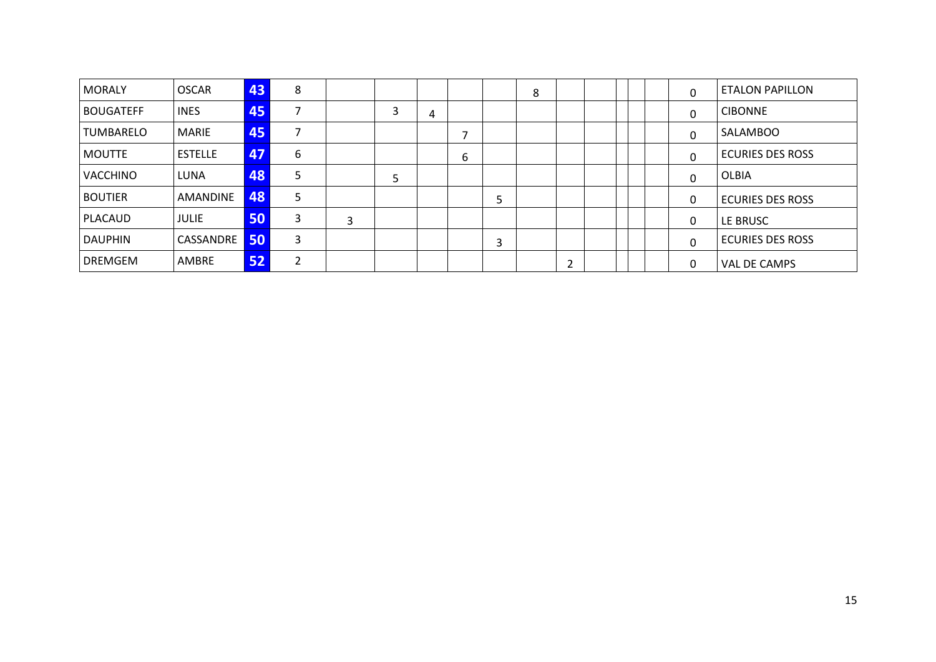| <b>MORALY</b>    | <b>OSCAR</b>   | 43 | 8 |   |   |   |   |   | 8 |  |  | $\mathbf 0$ | ETALON PAPILLON         |
|------------------|----------------|----|---|---|---|---|---|---|---|--|--|-------------|-------------------------|
| <b>BOUGATEFF</b> | <b>INES</b>    | 45 |   |   | 3 | 4 |   |   |   |  |  | $\mathbf 0$ | <b>CIBONNE</b>          |
| TUMBARELO        | <b>MARIE</b>   | 45 |   |   |   |   |   |   |   |  |  | $\mathbf 0$ | <b>SALAMBOO</b>         |
| <b>MOUTTE</b>    | <b>ESTELLE</b> | 47 | 6 |   |   |   | ь |   |   |  |  | 0           | <b>ECURIES DES ROSS</b> |
| <b>VACCHINO</b>  | LUNA           | 48 | ∍ |   | 5 |   |   |   |   |  |  | $\mathbf 0$ | OLBIA                   |
| <b>BOUTIER</b>   | AMANDINE       | 48 | ר |   |   |   |   | 5 |   |  |  | 0           | <b>ECURIES DES ROSS</b> |
| PLACAUD          | <b>JULIE</b>   | 50 | 3 | 3 |   |   |   |   |   |  |  | 0           | <b>LE BRUSC</b>         |
| <b>DAUPHIN</b>   | CASSANDRE      | 50 | 3 |   |   |   |   | 3 |   |  |  | $\Omega$    | <b>ECURIES DES ROSS</b> |
| <b>DREMGEM</b>   | AMBRE          | 52 | ∍ |   |   |   |   |   |   |  |  | 0           | VAL DE CAMPS            |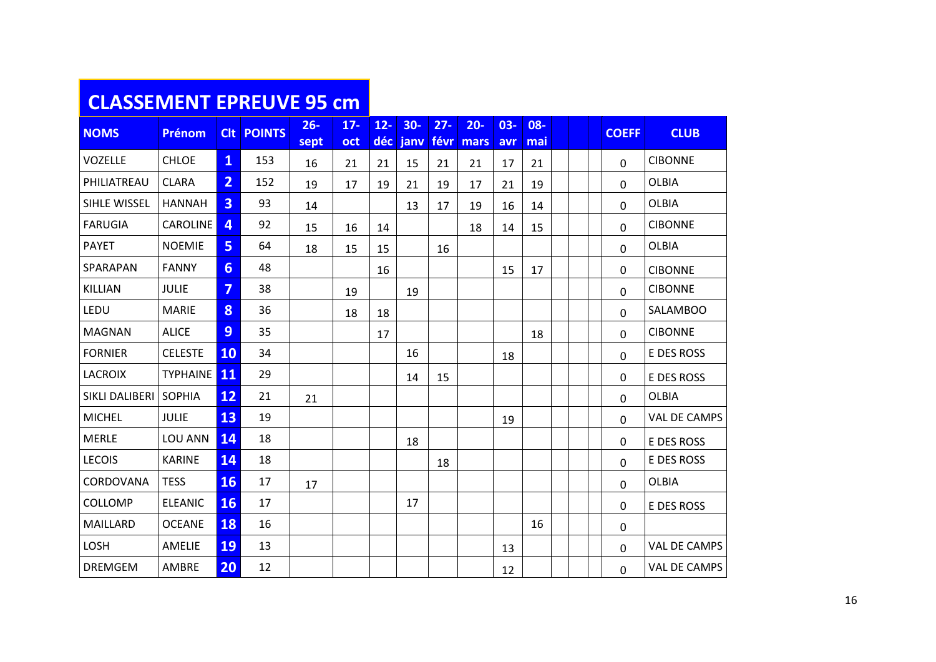#### **CLASSEMENT EPREUVE 95 cm**

| <b>NOMS</b>    | <b>Prénom</b>   | <b>Clt</b>       | <b>POINTS</b> | $26 -$ | $17 -$ | $12 -$ | $30-$ | $27 -$ | $20 -$ | $03 -$ | 08- |  | <b>COEFF</b> | <b>CLUB</b>         |
|----------------|-----------------|------------------|---------------|--------|--------|--------|-------|--------|--------|--------|-----|--|--------------|---------------------|
|                |                 |                  |               | sept   | oct    | déc    | janv  | févr   | mars   | avr    | mai |  |              |                     |
| <b>VOZELLE</b> | <b>CHLOE</b>    | 1                | 153           | 16     | 21     | 21     | 15    | 21     | 21     | 17     | 21  |  | $\mathbf 0$  | <b>CIBONNE</b>      |
| PHILIATREAU    | <b>CLARA</b>    | $\overline{2}$   | 152           | 19     | 17     | 19     | 21    | 19     | 17     | 21     | 19  |  | $\mathbf 0$  | <b>OLBIA</b>        |
| SIHLE WISSEL   | <b>HANNAH</b>   | 3                | 93            | 14     |        |        | 13    | 17     | 19     | 16     | 14  |  | $\mathbf 0$  | <b>OLBIA</b>        |
| <b>FARUGIA</b> | CAROLINE        | 4                | 92            | 15     | 16     | 14     |       |        | 18     | 14     | 15  |  | $\mathbf 0$  | <b>CIBONNE</b>      |
| <b>PAYET</b>   | <b>NOEMIE</b>   | 5                | 64            | 18     | 15     | 15     |       | 16     |        |        |     |  | 0            | <b>OLBIA</b>        |
| SPARAPAN       | <b>FANNY</b>    | $6 \overline{6}$ | 48            |        |        | 16     |       |        |        | 15     | 17  |  | 0            | <b>CIBONNE</b>      |
| KILLIAN        | <b>JULIE</b>    | $\overline{7}$   | 38            |        | 19     |        | 19    |        |        |        |     |  | $\Omega$     | <b>CIBONNE</b>      |
| LEDU           | <b>MARIE</b>    | 8                | 36            |        | 18     | 18     |       |        |        |        |     |  | $\mathbf 0$  | SALAMBOO            |
| <b>MAGNAN</b>  | <b>ALICE</b>    | 9                | 35            |        |        | 17     |       |        |        |        | 18  |  | $\mathbf{0}$ | <b>CIBONNE</b>      |
| <b>FORNIER</b> | <b>CELESTE</b>  | <b>10</b>        | 34            |        |        |        | 16    |        |        | 18     |     |  | $\mathbf 0$  | E DES ROSS          |
| <b>LACROIX</b> | <b>TYPHAINE</b> | 11               | 29            |        |        |        | 14    | 15     |        |        |     |  | $\mathbf{0}$ | E DES ROSS          |
| SIKLI DALIBERI | <b>SOPHIA</b>   | <b>12</b>        | 21            | 21     |        |        |       |        |        |        |     |  | $\mathbf 0$  | <b>OLBIA</b>        |
| <b>MICHEL</b>  | <b>JULIE</b>    | 13               | 19            |        |        |        |       |        |        | 19     |     |  | $\mathbf 0$  | <b>VAL DE CAMPS</b> |
| <b>MERLE</b>   | LOU ANN         | 14               | 18            |        |        |        | 18    |        |        |        |     |  | $\mathbf 0$  | E DES ROSS          |
| <b>LECOIS</b>  | <b>KARINE</b>   | 14               | 18            |        |        |        |       | 18     |        |        |     |  | $\mathbf 0$  | E DES ROSS          |
| CORDOVANA      | <b>TESS</b>     | <b>16</b>        | 17            | 17     |        |        |       |        |        |        |     |  | $\mathbf 0$  | <b>OLBIA</b>        |
| COLLOMP        | <b>ELEANIC</b>  | <b>16</b>        | 17            |        |        |        | 17    |        |        |        |     |  | $\mathbf{0}$ | E DES ROSS          |
| MAILLARD       | <b>OCEANE</b>   | 18               | 16            |        |        |        |       |        |        |        | 16  |  | $\mathbf 0$  |                     |
| LOSH           | AMELIE          | 19               | 13            |        |        |        |       |        |        | 13     |     |  | $\mathbf 0$  | VAL DE CAMPS        |
| <b>DREMGEM</b> | AMBRE           | 20               | 12            |        |        |        |       |        |        | 12     |     |  | $\mathbf 0$  | VAL DE CAMPS        |